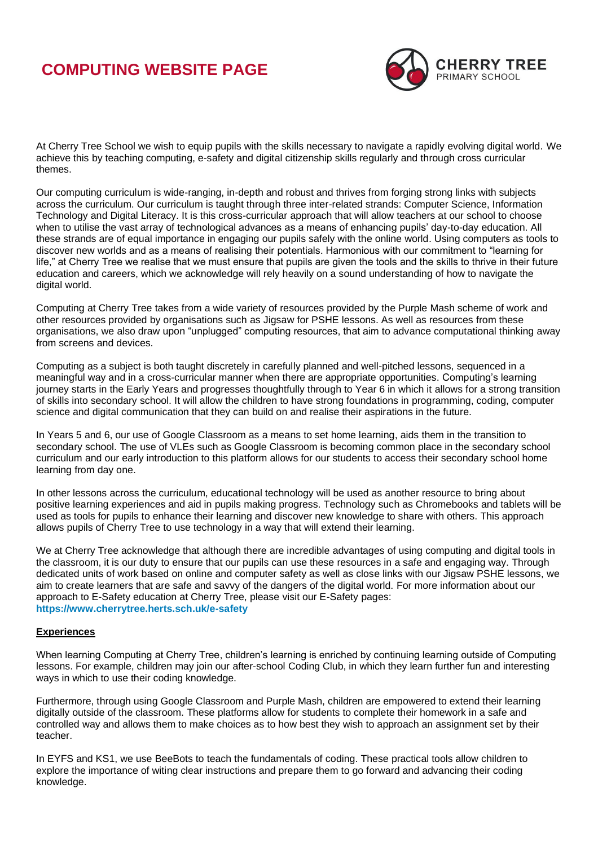## **COMPUTING WEBSITE PAGE**



At Cherry Tree School we wish to equip pupils with the skills necessary to navigate a rapidly evolving digital world. We achieve this by teaching computing, e-safety and digital citizenship skills regularly and through cross curricular themes.

Our computing curriculum is wide-ranging, in-depth and robust and thrives from forging strong links with subjects across the curriculum. Our curriculum is taught through three inter-related strands: Computer Science, Information Technology and Digital Literacy. It is this cross-curricular approach that will allow teachers at our school to choose when to utilise the vast array of technological advances as a means of enhancing pupils' day-to-day education. All these strands are of equal importance in engaging our pupils safely with the online world. Using computers as tools to discover new worlds and as a means of realising their potentials. Harmonious with our commitment to "learning for life," at Cherry Tree we realise that we must ensure that pupils are given the tools and the skills to thrive in their future education and careers, which we acknowledge will rely heavily on a sound understanding of how to navigate the digital world.

Computing at Cherry Tree takes from a wide variety of resources provided by the Purple Mash scheme of work and other resources provided by organisations such as Jigsaw for PSHE lessons. As well as resources from these organisations, we also draw upon "unplugged" computing resources, that aim to advance computational thinking away from screens and devices.

Computing as a subject is both taught discretely in carefully planned and well-pitched lessons, sequenced in a meaningful way and in a cross-curricular manner when there are appropriate opportunities. Computing's learning journey starts in the Early Years and progresses thoughtfully through to Year 6 in which it allows for a strong transition of skills into secondary school. It will allow the children to have strong foundations in programming, coding, computer science and digital communication that they can build on and realise their aspirations in the future.

In Years 5 and 6, our use of Google Classroom as a means to set home learning, aids them in the transition to secondary school. The use of VLEs such as Google Classroom is becoming common place in the secondary school curriculum and our early introduction to this platform allows for our students to access their secondary school home learning from day one.

In other lessons across the curriculum, educational technology will be used as another resource to bring about positive learning experiences and aid in pupils making progress. Technology such as Chromebooks and tablets will be used as tools for pupils to enhance their learning and discover new knowledge to share with others. This approach allows pupils of Cherry Tree to use technology in a way that will extend their learning.

We at Cherry Tree acknowledge that although there are incredible advantages of using computing and digital tools in the classroom, it is our duty to ensure that our pupils can use these resources in a safe and engaging way. Through dedicated units of work based on online and computer safety as well as close links with our Jigsaw PSHE lessons, we aim to create learners that are safe and savvy of the dangers of the digital world. For more information about our approach to E-Safety education at Cherry Tree, please visit our E-Safety pages: **<https://www.cherrytree.herts.sch.uk/e-safety>**

## **Experiences**

When learning Computing at Cherry Tree, children's learning is enriched by continuing learning outside of Computing lessons. For example, children may join our after-school Coding Club, in which they learn further fun and interesting ways in which to use their coding knowledge.

Furthermore, through using Google Classroom and Purple Mash, children are empowered to extend their learning digitally outside of the classroom. These platforms allow for students to complete their homework in a safe and controlled way and allows them to make choices as to how best they wish to approach an assignment set by their teacher.

In EYFS and KS1, we use BeeBots to teach the fundamentals of coding. These practical tools allow children to explore the importance of witing clear instructions and prepare them to go forward and advancing their coding knowledge.